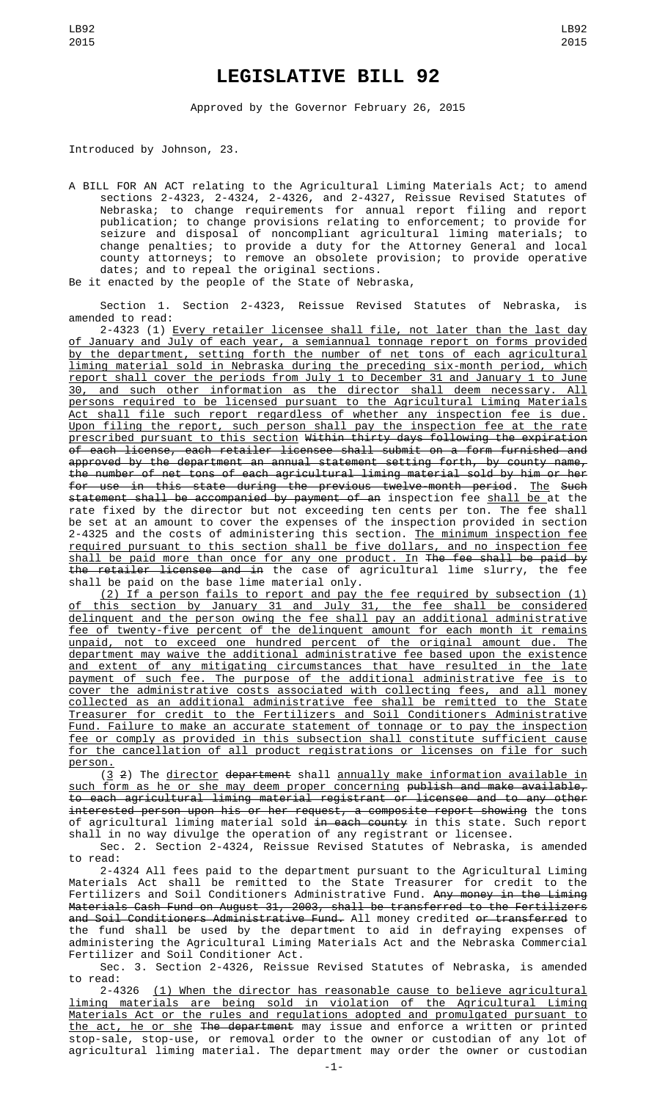## **LEGISLATIVE BILL 92**

Approved by the Governor February 26, 2015

Introduced by Johnson, 23.

A BILL FOR AN ACT relating to the Agricultural Liming Materials Act; to amend sections 2-4323, 2-4324, 2-4326, and 2-4327, Reissue Revised Statutes of Nebraska; to change requirements for annual report filing and report publication; to change provisions relating to enforcement; to provide for seizure and disposal of noncompliant agricultural liming materials; to change penalties; to provide a duty for the Attorney General and local county attorneys; to remove an obsolete provision; to provide operative dates; and to repeal the original sections.

Be it enacted by the people of the State of Nebraska,

Section 1. Section 2-4323, Reissue Revised Statutes of Nebraska, is amended to read:

2-4323 (1) Every retailer licensee shall file, not later than the last day of January and July of each year, a semiannual tonnage report on forms provided by the department, setting forth the number of net tons of each agricultural liming material sold in Nebraska during the preceding six-month period, which report shall cover the periods from July 1 to December 31 and January 1 to June 30, and such other information as the director shall deem necessary. All persons required to be licensed pursuant to the Agricultural Liming Materials Act shall file such report regardless of whether any inspection fee is due. Upon filing the report, such person shall pay the inspection fee at the rate prescribed pursuant to this section Within thirty days following the expiration of each license, each retailer licensee shall submit on a form furnished and approved by the department an annual statement setting forth, by county name, the number of net tons of each agricultural liming material sold by him or her for use in this state during the previous twelve-month period. The Such statement shall be accompanied by payment of an inspection fee shall be at the rate fixed by the director but not exceeding ten cents per ton. The fee shall be set at an amount to cover the expenses of the inspection provided in section 2-4325 and the costs of administering this section. <u>The minimum inspection fee</u> required pursuant to this section shall be five dollars, and no inspection fee shall be paid more than once for any one product. In The fee shall be paid by the retailer licensee and in the case of agricultural lime slurry, the fee shall be paid on the base lime material only.

(2) If a person fails to report and pay the fee required by subsection (1) of this section by January 31 and July 31, the fee shall be considered delinquent and the person owing the fee shall pay an additional administrative fee of twenty-five percent of the delinquent amount for each month it remains unpaid, not to exceed one hundred percent of the original amount due. The department may waive the additional administrative fee based upon the existence and extent of any mitigating circumstances that have resulted in the late payment of such fee. The purpose of the additional administrative fee is to cover the administrative costs associated with collecting fees, and all money collected as an additional administrative fee shall be remitted to the State Treasurer for credit to the Fertilizers and Soil Conditioners Administrative Fund. Failure to make an accurate statement of tonnage or to pay the inspection fee or comply as provided in this subsection shall constitute sufficient cause for the cancellation of all product registrations or licenses on file for such person.

 $(3 2)$  The director department shall annually make information available in such form as he or she may deem proper concerning publish and make available, to each agricultural liming material registrant or licensee and to any other interested person upon his or her request, a composite report showing the tons of agricultural liming material sold <del>in each county</del> in this state. Such report shall in no way divulge the operation of any registrant or licensee.

Sec. 2. Section 2-4324, Reissue Revised Statutes of Nebraska, is amended to read:

2-4324 All fees paid to the department pursuant to the Agricultural Liming Materials Act shall be remitted to the State Treasurer for credit to the Fertilizers and Soil Conditioners Administrative Fund. <del>Any money in the Liming</del> Materials Cash Fund on August 31, 2003, shall be transferred to the Fertilizers and Soil Conditioners Administrative Fund. All money credited or transferred to the fund shall be used by the department to aid in defraying expenses of administering the Agricultural Liming Materials Act and the Nebraska Commercial Fertilizer and Soil Conditioner Act.

Sec. 3. Section 2-4326, Reissue Revised Statutes of Nebraska, is amended to read:

2-4326 (1) When the director has reasonable cause to believe agricultural liming materials are being sold in violation of the Agricultural Liming Materials Act or the rules and regulations adopted and promulgated pursuant to the act, he or she The department may issue and enforce a written or printed stop-sale, stop-use, or removal order to the owner or custodian of any lot of agricultural liming material. The department may order the owner or custodian